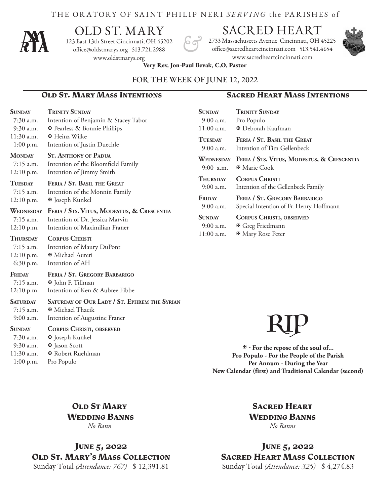#### THE ORATORY OF SAINT PHILIP NERI *SERVING* the PA R ISHES of



# OLD ST. MARY

123 East 13th Street Cincinnati, OH 45202 office@oldstmarys.org 513.721.2988 www.oldstmarys.org

## SACRED HEART

2733 Massachusetts Avenue Cincinnati, OH 45225 office@sacredheartcincinnati.com 513.541.4654 www.sacredheartcincinnati.com



**Very Rev. Jon-Paul Bevak, C.O. Pastor** 

#### FOR THE WEEK OF JUNE 12, 2022

#### **Old St. Mary Mass Intentions Sacred Heart Mass Intentions**

| <b>SUNDAY</b><br>7:30 a.m.<br>9:30 a.m.                       | <b>TRINITY SUNDAY</b><br>Intention of Benjamin & Stacey Tabor<br><b><math>\Phi</math></b> Pearless & Bonnie Phillips                                                                                       | <b>SUNDAY</b><br>9:00 a.m.<br>$11:00$ a.m. | <b>TRINITY SUNDAY</b><br>Pro Populo<br><b><i>E</i></b> Deborah Kaufman                                 |
|---------------------------------------------------------------|------------------------------------------------------------------------------------------------------------------------------------------------------------------------------------------------------------|--------------------------------------------|--------------------------------------------------------------------------------------------------------|
| $11:30$ a.m.<br>$1:00$ p.m.                                   | <b><math>\Phi</math> Heinz Wilke</b><br>Intention of Justin Duechle                                                                                                                                        | <b>TUESDAY</b><br>$9:00$ a.m.              | FERIA / ST. BASIL THE GREAT<br>Intention of Tim Gellenbeck                                             |
| <b>MONDAY</b><br>$7:15$ a.m.<br>$12:10$ p.m.                  | <b>ST. ANTHONY OF PADUA</b><br>Intention of the Bloomfield Family<br>Intention of Jimmy Smith                                                                                                              | 9:00 a.m.                                  | WEDNESDAY FERIA / STS. VITUS, MODESTUS, & CRESCENTIA<br><b><math>\Phi</math></b> Marie Cook            |
| <b>TUESDAY</b><br>$7:15$ a.m.                                 | FERIA / ST. BASIL THE GREAT<br>Intention of the Monnin Family<br><b>⊕</b> Joseph Kunkel<br>FERIA / STS. VITUS, MODESTUS, & CRESCENTIA<br>Intention of Dr. Jessica Marvin<br>Intention of Maximilian Franer | <b>THURSDAY</b><br>9:00 a.m.               | <b>CORPUS CHRISTI</b><br>Intention of the Gellenbeck Family                                            |
| $12:10$ p.m.                                                  |                                                                                                                                                                                                            | FRIDAY<br>9:00 a.m.                        | FERIA / ST. GREGORY BARBARIGO<br>Special Intention of Fr. Henry Hoffmann                               |
| WEDNESDAY<br>$7:15$ a.m.<br>12:10 p.m.                        |                                                                                                                                                                                                            | <b>SUNDAY</b><br>$9:00$ a.m.<br>11:00 a.m. | <b>CORPUS CHRISTI, OBSERVED</b><br><b>₩</b> Greg Friedmann<br><b><math>\Phi</math> Mary Rose Peter</b> |
| <b>THURSDAY</b><br>$7:15$ a.m.<br>$12:10$ p.m.<br>$6:30$ p.m. | <b>CORPUS CHRISTI</b><br>Intention of Maury DuPont<br><b><math>⊌</math></b> Michael Auteri<br>Intention of AH                                                                                              |                                            |                                                                                                        |
| FRIDAY<br>$7:15$ a.m.<br>12:10 p.m.                           | FERIA / ST. GREGORY BARBARIGO<br><b><math>\Phi</math></b> John F. Tillman<br>Intention of Ken & Aubree Fibbe                                                                                               |                                            |                                                                                                        |

#### **Saturday Saturday of Our Lady / St. Ephrem the Syrian** 7:15 a.m. **E** Michael Thacik

- 9:00 a.m. Intention of Augustine Franer
- **Sunday Corpus Christi, observed**
- 7:30 a.m. **E** Joseph Kunkel 9:30 a.m.  $\mathbb{F}$  Jason Scott
- 11:30 a.m. **E** Robert Ruehlman 1:00 p.m. Pro Populo

# RIP

 **- For the repose of the soul of... Pro Populo - For the People of the Parish Per Annum - During the Year New Calendar (first) and Traditional Calendar (second)**

**OLD ST MARY Wedding Banns** *No Bann*

**June 5, 2022 Old St. Mary's Mass Collection** Sunday Total *(Attendance: 767)* \$ 12,391.81

**Sacred Heart Wedding Banns** *No Banns*

**June 5, 2022 Sacred Heart Mass Collection** Sunday Total *(Attendance: 325)* \$ 4,274.83